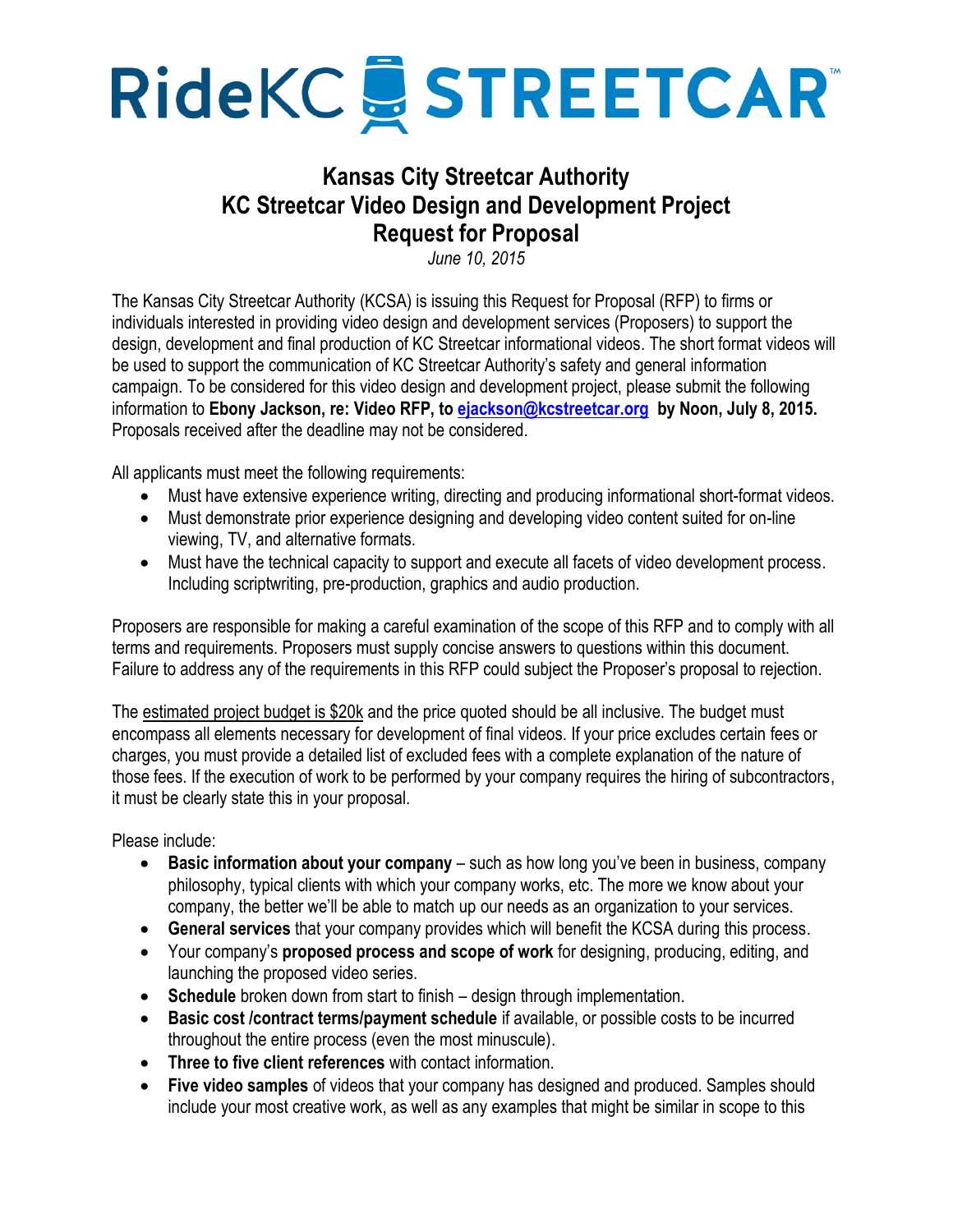

# **Kansas City Streetcar Authority KC Streetcar Video Design and Development Project Request for Proposal**

*June 10, 2015*

The Kansas City Streetcar Authority (KCSA) is issuing this Request for Proposal (RFP) to firms or individuals interested in providing video design and development services (Proposers) to support the design, development and final production of KC Streetcar informational videos. The short format videos will be used to support the communication of KC Streetcar Authority's safety and general information campaign. To be considered for this video design and development project, please submit the following information to **Ebony Jackson, re: Video RFP, to [ejackson@kcstreetcar.org](mailto:ejackson@kcsteetcar.org) by Noon, July 8, 2015.**  Proposals received after the deadline may not be considered.

All applicants must meet the following requirements:

- Must have extensive experience writing, directing and producing informational short-format videos.
- Must demonstrate prior experience designing and developing video content suited for on-line viewing, TV, and alternative formats.
- Must have the technical capacity to support and execute all facets of video development process. Including scriptwriting, pre-production, graphics and audio production.

Proposers are responsible for making a careful examination of the scope of this RFP and to comply with all terms and requirements. Proposers must supply concise answers to questions within this document. Failure to address any of the requirements in this RFP could subject the Proposer's proposal to rejection.

The estimated project budget is \$20k and the price quoted should be all inclusive. The budget must encompass all elements necessary for development of final videos. If your price excludes certain fees or charges, you must provide a detailed list of excluded fees with a complete explanation of the nature of those fees. If the execution of work to be performed by your company requires the hiring of subcontractors, it must be clearly state this in your proposal.

Please include:

- **Basic information about your company** such as how long you've been in business, company philosophy, typical clients with which your company works, etc. The more we know about your company, the better we'll be able to match up our needs as an organization to your services.
- **General services** that your company provides which will benefit the KCSA during this process.
- Your company's **proposed process and scope of work** for designing, producing, editing, and launching the proposed video series.
- **Schedule** broken down from start to finish design through implementation.
- **Basic cost /contract terms/payment schedule** if available, or possible costs to be incurred throughout the entire process (even the most minuscule).
- **Three to five client references** with contact information.
- **Five video samples** of videos that your company has designed and produced. Samples should include your most creative work, as well as any examples that might be similar in scope to this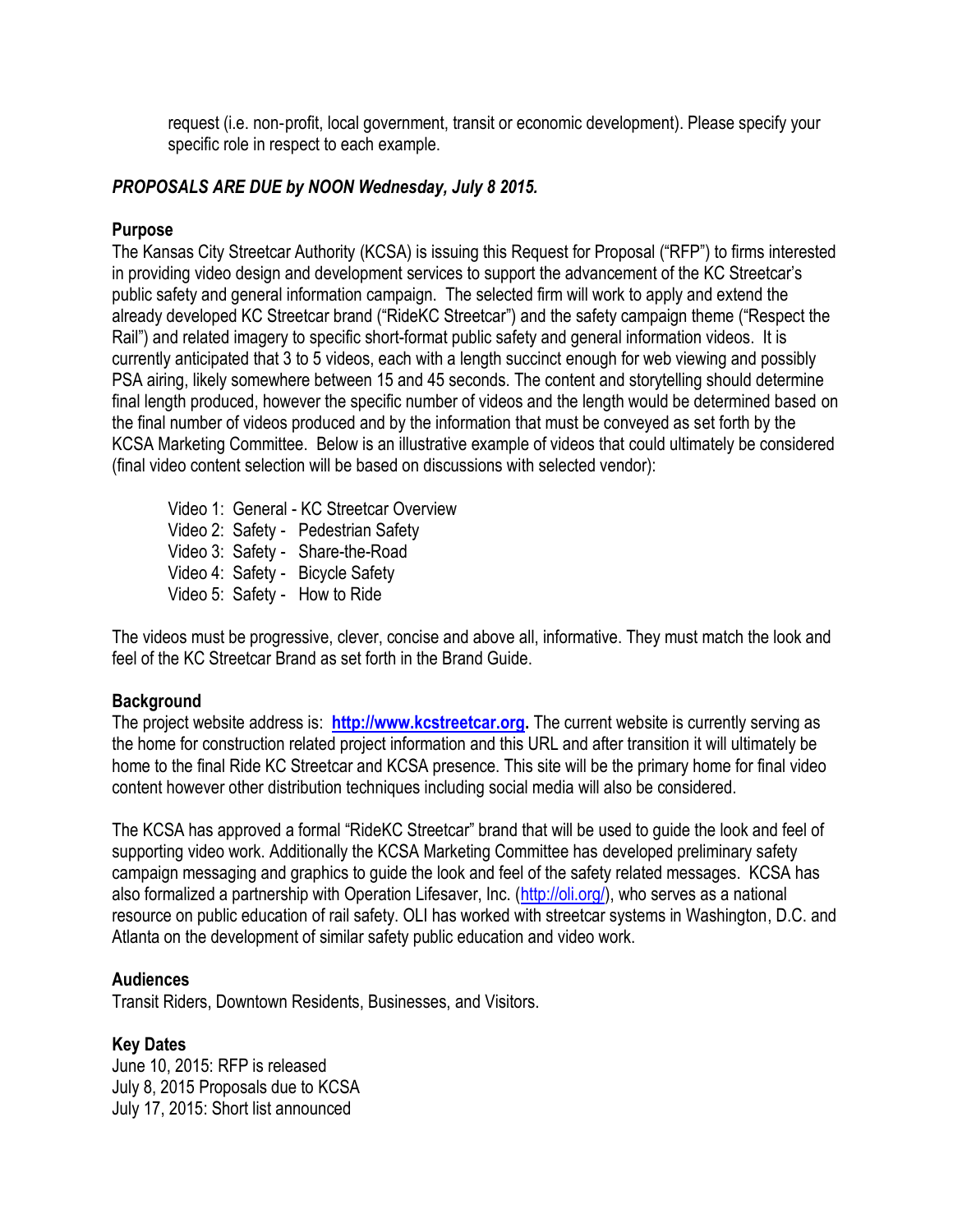request (i.e. non‐profit, local government, transit or economic development). Please specify your specific role in respect to each example.

### *PROPOSALS ARE DUE by NOON Wednesday, July 8 2015.*

## **Purpose**

The Kansas City Streetcar Authority (KCSA) is issuing this Request for Proposal ("RFP") to firms interested in providing video design and development services to support the advancement of the KC Streetcar's public safety and general information campaign. The selected firm will work to apply and extend the already developed KC Streetcar brand ("RideKC Streetcar") and the safety campaign theme ("Respect the Rail") and related imagery to specific short-format public safety and general information videos. It is currently anticipated that 3 to 5 videos, each with a length succinct enough for web viewing and possibly PSA airing, likely somewhere between 15 and 45 seconds. The content and storytelling should determine final length produced, however the specific number of videos and the length would be determined based on the final number of videos produced and by the information that must be conveyed as set forth by the KCSA Marketing Committee. Below is an illustrative example of videos that could ultimately be considered (final video content selection will be based on discussions with selected vendor):

Video 1: General - KC Streetcar Overview Video 2: Safety - Pedestrian Safety Video 3: Safety - Share-the-Road Video 4: Safety - Bicycle Safety Video 5: Safety - How to Ride

The videos must be progressive, clever, concise and above all, informative. They must match the look and feel of the KC Streetcar Brand as set forth in the Brand Guide.

#### **Background**

The project website address is: **[http://www.kcstreetcar.org.](http://www.kcstreetcar.org/)** The current website is currently serving as the home for construction related project information and this URL and after transition it will ultimately be home to the final Ride KC Streetcar and KCSA presence. This site will be the primary home for final video content however other distribution techniques including social media will also be considered.

The KCSA has approved a formal "RideKC Streetcar" brand that will be used to guide the look and feel of supporting video work. Additionally the KCSA Marketing Committee has developed preliminary safety campaign messaging and graphics to guide the look and feel of the safety related messages. KCSA has also formalized a partnership with Operation Lifesaver, Inc. [\(http://oli.org/\)](http://oli.org/), who serves as a national resource on public education of rail safety. OLI has worked with streetcar systems in Washington, D.C. and Atlanta on the development of similar safety public education and video work.

#### **Audiences**

Transit Riders, Downtown Residents, Businesses, and Visitors.

#### **Key Dates**

June 10, 2015: RFP is released July 8, 2015 Proposals due to KCSA July 17, 2015: Short list announced